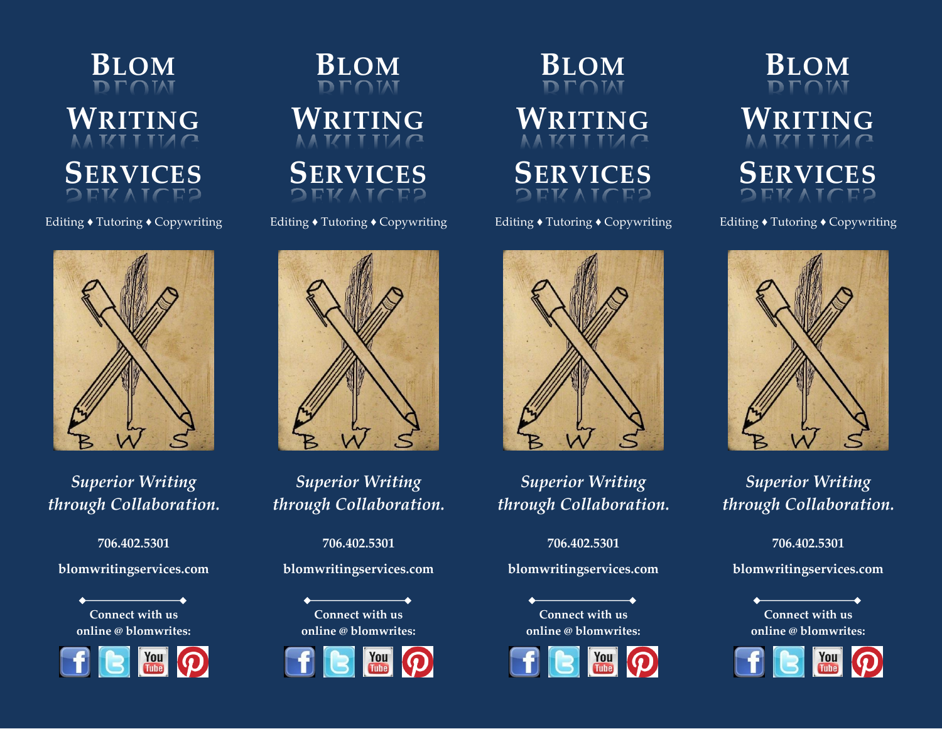

### Editing ♦ Tutoring ♦ Copywriting



*Superior Writing through Collaboration.*

**706.402.5301** 

**blomwritingservices.com**

**Connect with us online @ blomwrites:** 







Editing ♦ Tutoring ♦ Copywriting



*Superior Writing through Collaboration.*

**706.402.5301 blomwritingservices.com**





**BLOM WRITING**



Editing ♦ Tutoring ♦ Copywriting



*Superior Writing through Collaboration.*

**706.402.5301** 

**blomwritingservices.com**

**Connect with us online @ blomwrites:** 



**BLOM WRITING SERVICES**

Editing ♦ Tutoring ♦ Copywriting



*Superior Writing through Collaboration.*

**706.402.5301** 

**blomwritingservices.com**

**Connect with us online @ blomwrites:**